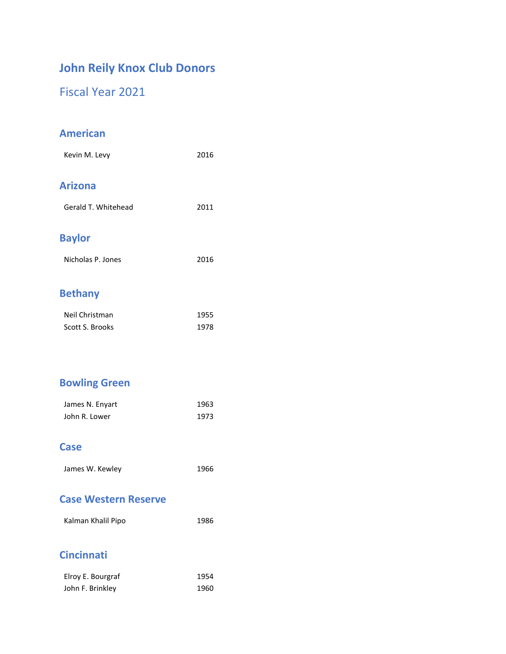# **John Reily Knox Club Donors**

Fiscal Year 2021

### **American**

| Kevin M. Levy        | 2016 |
|----------------------|------|
| <b>Arizona</b>       |      |
| Gerald T. Whitehead  | 2011 |
| <b>Baylor</b>        |      |
| Nicholas P. Jones    | 2016 |
| <b>Dealer</b> Albert |      |

#### **Bethany**

| Neil Christman  | 1955 |
|-----------------|------|
| Scott S. Brooks | 1978 |

# **Bowling Green**

| James N. Enyart | 1963 |
|-----------------|------|
| John R. Lower   | 1973 |

#### **Case**

James W. Kewley 1966

#### **Case Western Reserve**

| Kalman Khalil Pipo | 1986 |
|--------------------|------|

## **Cincinnati**

| Elroy E. Bourgraf | 1954 |
|-------------------|------|
| John F. Brinkley  | 1960 |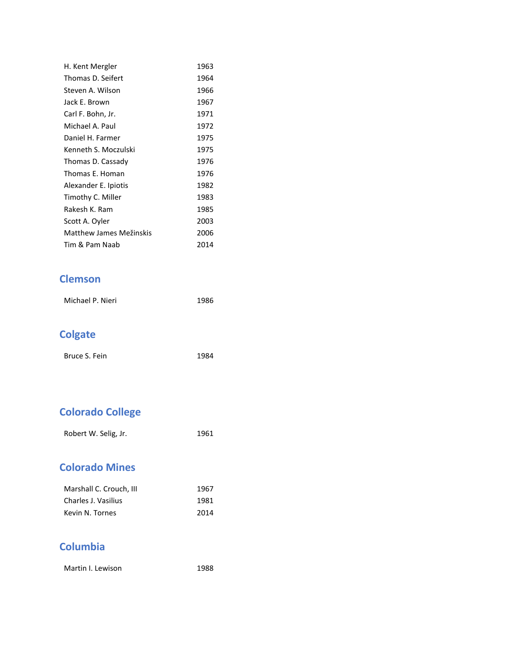| H. Kent Mergler         | 1963 |
|-------------------------|------|
| Thomas D. Seifert       | 1964 |
| Steven A. Wilson        | 1966 |
| Jack F. Brown           | 1967 |
| Carl F. Bohn, Jr.       | 1971 |
| Michael A. Paul         | 1972 |
| Daniel H. Farmer        | 1975 |
| Kenneth S. Moczulski    | 1975 |
| Thomas D. Cassady       | 1976 |
| Thomas E. Homan         | 1976 |
| Alexander E. Ipiotis    | 1982 |
| Timothy C. Miller       | 1983 |
| Rakesh K. Ram           | 1985 |
| Scott A. Oyler          | 2003 |
| Matthew James Mežinskis | 2006 |
| Tim & Pam Naab          | 2014 |

### **Clemson**

| Michael P. Nieri | 1986 |
|------------------|------|
|                  |      |

# **Colgate**

| Bruce S. Fein | 1984 |
|---------------|------|

# **Colorado College**

| Robert W. Selig, Jr. | 1961 |
|----------------------|------|
|----------------------|------|

## **Colorado Mines**

| Marshall C. Crouch, III | 1967 |
|-------------------------|------|
| Charles J. Vasilius     | 1981 |
| Kevin N. Tornes         | 2014 |

## **Columbia**

Martin I. Lewison 1988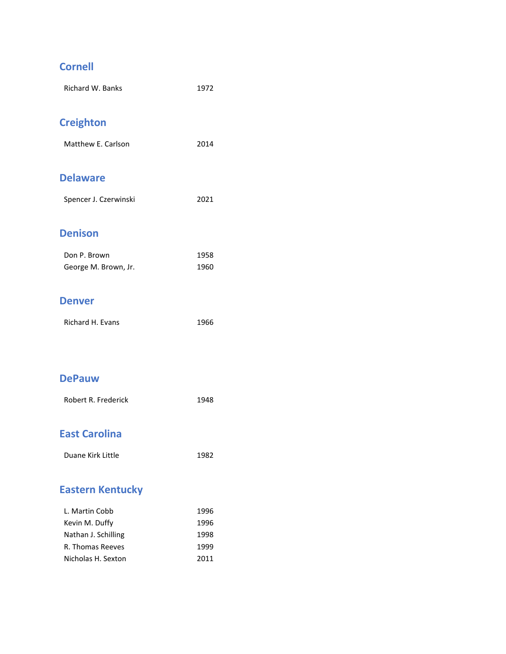# **Cornell**

| <b>Richard W. Banks</b>          | 1972         |
|----------------------------------|--------------|
| <b>Creighton</b>                 |              |
| Matthew E. Carlson               | 2014         |
| <b>Delaware</b>                  |              |
| Spencer J. Czerwinski            | 2021         |
| <b>Denison</b>                   |              |
| Don P. Brown                     | 1958         |
| George M. Brown, Jr.             | 1960         |
| <b>Denver</b>                    |              |
| <b>Richard H. Evans</b>          | 1966         |
|                                  |              |
| <b>DePauw</b>                    |              |
| Robert R. Frederick              | 1948         |
| <b>East Carolina</b>             |              |
| Duane Kirk Little                | 1982         |
| <b>Eastern Kentucky</b>          |              |
|                                  |              |
| L. Martin Cobb<br>Kevin M. Duffy | 1996<br>1996 |
| Nathan J. Schilling              | 1998         |

R. Thomas Reeves 1999 Nicholas H. Sexton 2011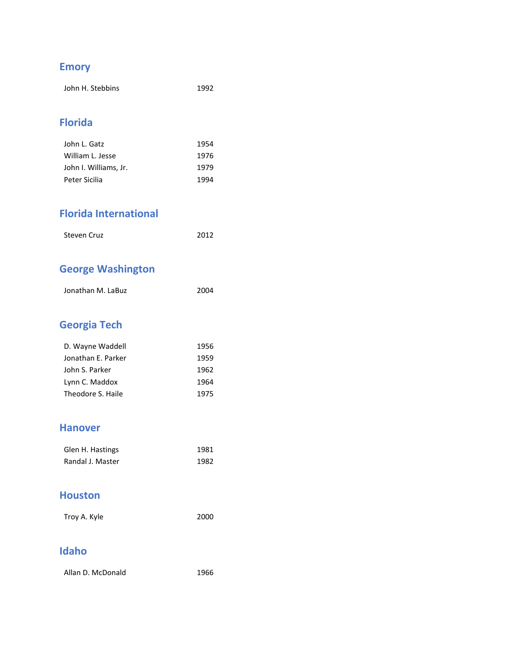# **Emory**

| John H. Stebbins | 1992 |
|------------------|------|
|------------------|------|

### **Florida**

| John L. Gatz          | 1954 |
|-----------------------|------|
| William L. Jesse      | 1976 |
| John I. Williams, Jr. | 1979 |
| Peter Sicilia         | 1994 |

### **Florida International**

| 2012<br><b>Steven Cruz</b> |  |
|----------------------------|--|

# **George Washington**

| Jonathan M. LaBuz | 2004 |
|-------------------|------|
|                   |      |

# **Georgia Tech**

| D. Wayne Waddell   | 1956 |
|--------------------|------|
| Jonathan E. Parker | 1959 |
| John S. Parker     | 1962 |
| Lynn C. Maddox     | 1964 |
| Theodore S. Haile  | 1975 |

#### **Hanover**

| Glen H. Hastings | 1981 |
|------------------|------|
| Randal J. Master | 1982 |

### **Houston**

| 2000 |
|------|
|      |

## **Idaho**

| Allan D. McDonald | 1966 |
|-------------------|------|
|                   |      |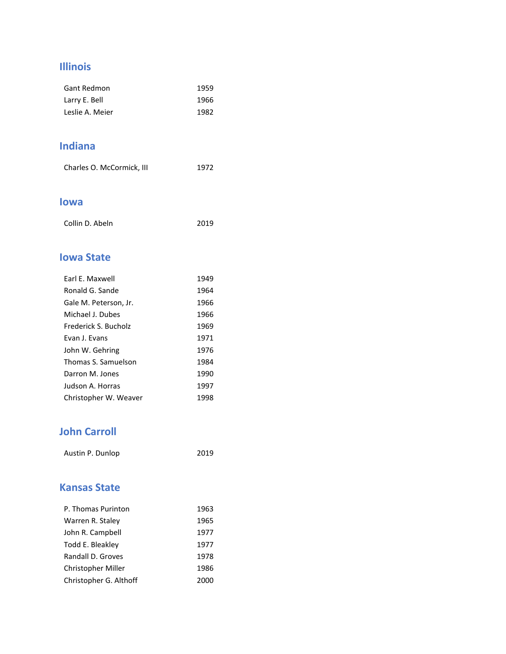### **Illinois**

| Gant Redmon     | 1959 |
|-----------------|------|
| Larry E. Bell   | 1966 |
| Leslie A. Meier | 1982 |

### **Indiana**

|  | Charles O. McCormick, III | 1972 |
|--|---------------------------|------|
|--|---------------------------|------|

#### **Iowa**

| 2019 |
|------|
|      |

### **Iowa State**

| Farl F. Maxwell       | 1949 |
|-----------------------|------|
| Ronald G. Sande       | 1964 |
| Gale M. Peterson, Jr. | 1966 |
| Michael J. Dubes      | 1966 |
| Frederick S. Bucholz  | 1969 |
| Evan J. Evans         | 1971 |
| John W. Gehring       | 1976 |
| Thomas S. Samuelson   | 1984 |
| Darron M. Jones       | 1990 |
| Judson A. Horras      | 1997 |
| Christopher W. Weaver | 1998 |

## **John Carroll**

| Austin P. Dunlop | 2019 |
|------------------|------|
|                  |      |

### **Kansas State**

| P. Thomas Purinton     | 1963 |
|------------------------|------|
| Warren R. Staley       | 1965 |
| John R. Campbell       | 1977 |
| Todd E. Bleakley       | 1977 |
| Randall D. Groves      | 1978 |
| Christopher Miller     | 1986 |
| Christopher G. Althoff | 2000 |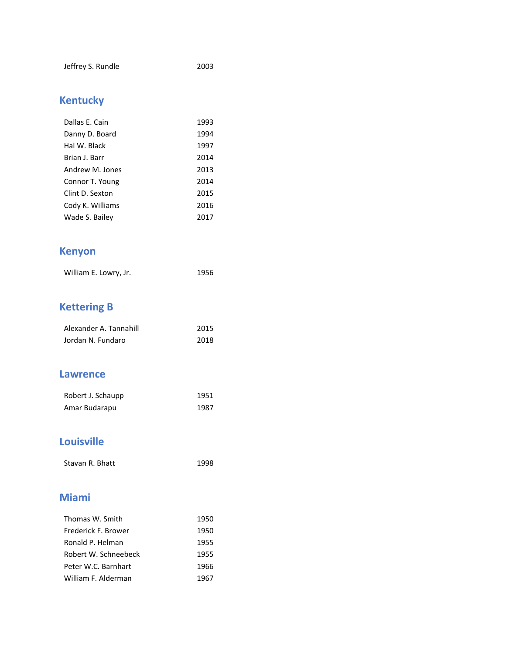# **Kentucky**

| Dallas E. Cain   | 1993 |
|------------------|------|
| Danny D. Board   | 1994 |
| Hal W. Black     | 1997 |
| Brian J. Barr    | 2014 |
| Andrew M. Jones  | 2013 |
| Connor T. Young  | 2014 |
| Clint D. Sexton  | 2015 |
| Cody K. Williams | 2016 |
| Wade S. Bailey   | 2017 |

# **Kenyon**

| William E. Lowry, Jr. | 1956 |
|-----------------------|------|
|-----------------------|------|

# **Kettering B**

| Alexander A. Tannahill | 2015 |
|------------------------|------|
| Jordan N. Fundaro      | 2018 |

#### **Lawrence**

| Robert J. Schaupp | 1951 |
|-------------------|------|
| Amar Budarapu     | 1987 |

### **Louisville**

Stavan R. Bhatt 1998

### **Miami**

| Thomas W. Smith      | 1950 |
|----------------------|------|
| Frederick F. Brower  | 1950 |
| Ronald P. Helman     | 1955 |
| Robert W. Schneebeck | 1955 |
| Peter W.C. Barnhart  | 1966 |
| William F. Alderman  | 1967 |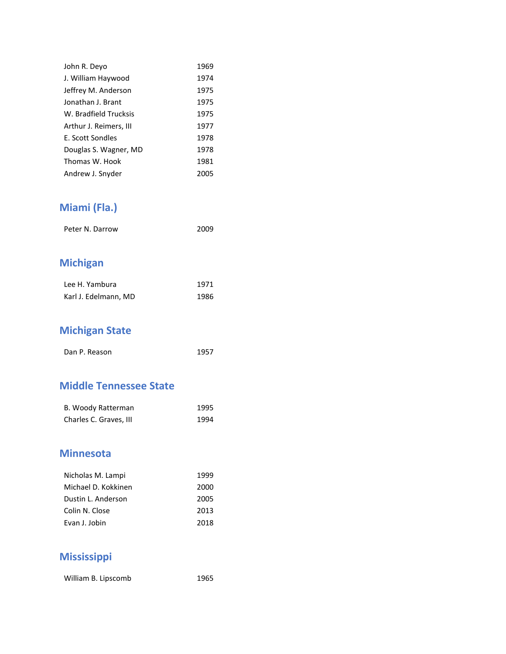| John R. Deyo           | 1969 |
|------------------------|------|
| J. William Haywood     | 1974 |
| Jeffrey M. Anderson    | 1975 |
| Jonathan J. Brant      | 1975 |
| W. Bradfield Trucksis  | 1975 |
| Arthur J. Reimers, III | 1977 |
| E. Scott Sondles       | 1978 |
| Douglas S. Wagner, MD  | 1978 |
| Thomas W. Hook         | 1981 |
| Andrew J. Snyder       | 2005 |

# **Miami (Fla.)**

| Peter N. Darrow | 2009 |
|-----------------|------|
|                 |      |

# **Michigan**

| Lee H. Yambura       | 1971 |
|----------------------|------|
| Karl J. Edelmann, MD | 1986 |

# **Michigan State**

| Dan P. Reason | 1957 |
|---------------|------|
|               |      |

#### **Middle Tennessee State**

| B. Woody Ratterman     | 1995 |
|------------------------|------|
| Charles C. Graves, III | 1994 |

### **Minnesota**

| Nicholas M. Lampi   | 1999 |
|---------------------|------|
| Michael D. Kokkinen | 2000 |
| Dustin L. Anderson  | 2005 |
| Colin N. Close      | 2013 |
| Evan J. Jobin       | 2018 |

### **Mississippi**

William B. Lipscomb 1965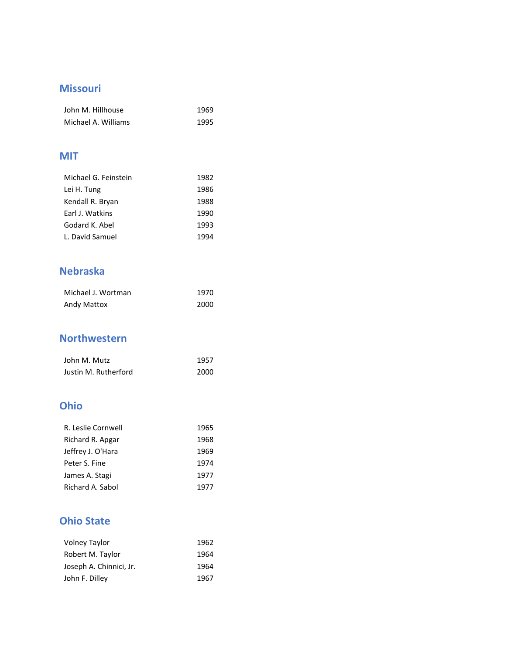### **Missouri**

| John M. Hillhouse   | 1969 |
|---------------------|------|
| Michael A. Williams | 1995 |

### **MIT**

| Michael G. Feinstein | 1982 |
|----------------------|------|
| Lei H. Tung          | 1986 |
| Kendall R. Bryan     | 1988 |
| Earl J. Watkins      | 1990 |
| Godard K. Abel       | 1993 |
| L. David Samuel      | 1994 |

## **Nebraska**

| Michael J. Wortman | 1970 |
|--------------------|------|
| Andy Mattox        | 2000 |

### **Northwestern**

| John M. Mutz         | 1957 |
|----------------------|------|
| Justin M. Rutherford | 2000 |

### **Ohio**

| R. Leslie Cornwell | 1965 |
|--------------------|------|
| Richard R. Apgar   | 1968 |
| Jeffrey J. O'Hara  | 1969 |
| Peter S. Fine      | 1974 |
| James A. Stagi     | 1977 |
| Richard A. Sabol   | 1977 |

## **Ohio State**

| <b>Volney Taylor</b>    | 1962 |  |
|-------------------------|------|--|
| Robert M. Taylor        | 1964 |  |
| Joseph A. Chinnici, Jr. | 1964 |  |
| John F. Dilley          | 1967 |  |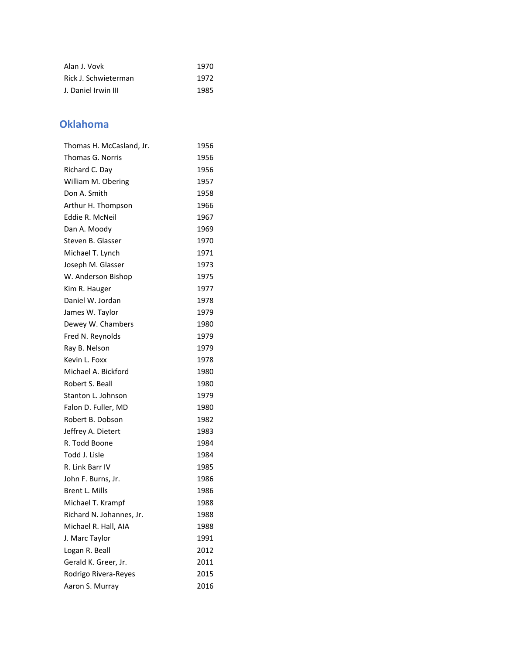| Alan J. Vovk         | 1970 |
|----------------------|------|
| Rick J. Schwieterman | 1972 |
| J. Daniel Irwin III  | 1985 |

### **Oklahoma**

| Thomas H. McCasland, Jr. | 1956 |
|--------------------------|------|
| Thomas G. Norris         | 1956 |
| Richard C. Day           | 1956 |
| William M. Obering       | 1957 |
| Don A. Smith             | 1958 |
| Arthur H. Thompson       | 1966 |
| Eddie R. McNeil          | 1967 |
| Dan A. Moody             | 1969 |
| Steven B. Glasser        | 1970 |
| Michael T. Lynch         | 1971 |
| Joseph M. Glasser        | 1973 |
| W. Anderson Bishop       | 1975 |
| Kim R. Hauger            | 1977 |
| Daniel W. Jordan         | 1978 |
| James W. Taylor          | 1979 |
| Dewey W. Chambers        | 1980 |
| Fred N. Reynolds         | 1979 |
| Ray B. Nelson            | 1979 |
| Kevin L. Foxx            | 1978 |
| Michael A. Bickford      | 1980 |
| Robert S. Beall          | 1980 |
| Stanton L. Johnson       | 1979 |
| Falon D. Fuller, MD      | 1980 |
| Robert B. Dobson         | 1982 |
| Jeffrey A. Dietert       | 1983 |
| R. Todd Boone            | 1984 |
| Todd J. Lisle            | 1984 |
| R. Link Barr IV          | 1985 |
| John F. Burns, Jr.       | 1986 |
| Brent L. Mills           | 1986 |
| Michael T. Krampf        | 1988 |
| Richard N. Johannes, Jr. | 1988 |
| Michael R. Hall, AIA     | 1988 |
| J. Marc Taylor           | 1991 |
| Logan R. Beall           | 2012 |
| Gerald K. Greer, Jr.     | 2011 |
| Rodrigo Rivera-Reyes     | 2015 |
| Aaron S. Murray          | 2016 |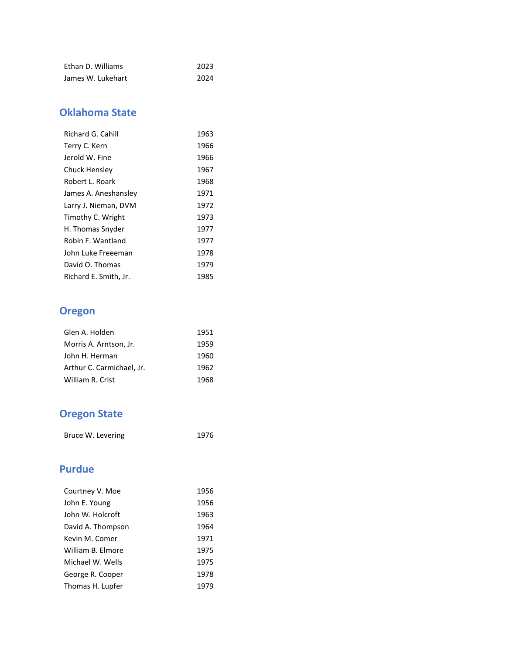| Ethan D. Williams | 2023 |
|-------------------|------|
| James W. Lukehart | 2024 |

## **Oklahoma State**

| Richard G. Cahill     | 1963 |
|-----------------------|------|
| Terry C. Kern         | 1966 |
| Jerold W. Fine        | 1966 |
| Chuck Hensley         | 1967 |
| Robert L. Roark       | 1968 |
| James A. Aneshansley  | 1971 |
| Larry J. Nieman, DVM  | 1972 |
| Timothy C. Wright     | 1973 |
| H. Thomas Snyder      | 1977 |
| Robin F. Wantland     | 1977 |
| John Luke Freeeman    | 1978 |
| David O. Thomas       | 1979 |
| Richard E. Smith, Jr. | 1985 |

# **Oregon**

| Glen A. Holden            | 1951 |
|---------------------------|------|
| Morris A. Arntson, Jr.    | 1959 |
| John H. Herman            | 1960 |
| Arthur C. Carmichael, Jr. | 1962 |
| William R. Crist          | 1968 |

# **Oregon State**

| Bruce W. Levering | 1976 |
|-------------------|------|
|                   |      |

### **Purdue**

| Courtney V. Moe   | 1956 |
|-------------------|------|
| John E. Young     | 1956 |
| John W. Holcroft  | 1963 |
| David A. Thompson | 1964 |
| Kevin M. Comer    | 1971 |
| William B. Elmore | 1975 |
| Michael W. Wells  | 1975 |
| George R. Cooper  | 1978 |
| Thomas H. Lupfer  | 1979 |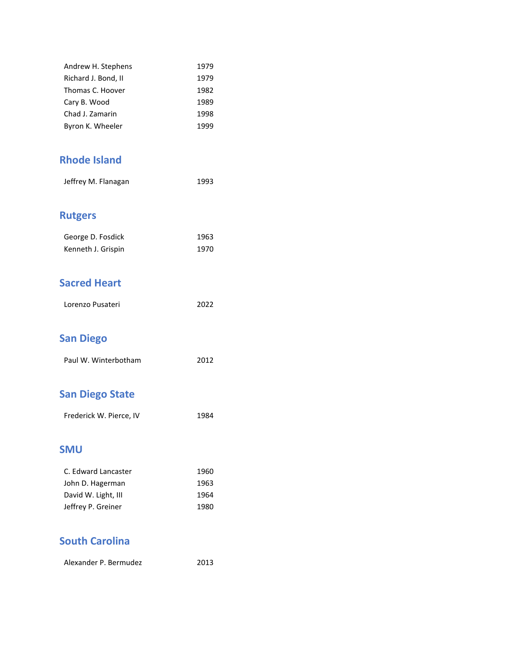| Andrew H. Stephens  | 1979 |
|---------------------|------|
| Richard J. Bond, II | 1979 |
| Thomas C. Hoover    | 1982 |
| Cary B. Wood        | 1989 |
| Chad J. Zamarin     | 1998 |
| Byron K. Wheeler    | 1999 |

### **Rhode Island**

| 1993 |
|------|
|      |

# **Rutgers**

| George D. Fosdick  | 1963 |
|--------------------|------|
| Kenneth J. Grispin | 1970 |

## **Sacred Heart**

| Lorenzo Pusateri | 2022 |
|------------------|------|
|                  |      |

# **San Diego**

| Paul W. Winterbotham | 2012 |
|----------------------|------|

# **San Diego State**

| Frederick W. Pierce, IV | 1984 |
|-------------------------|------|
|                         |      |

#### **SMU**

| C. Edward Lancaster | 1960 |
|---------------------|------|
| John D. Hagerman    | 1963 |
| David W. Light, III | 1964 |
| Jeffrey P. Greiner  | 1980 |

### **South Carolina**

Alexander P. Bermudez 2013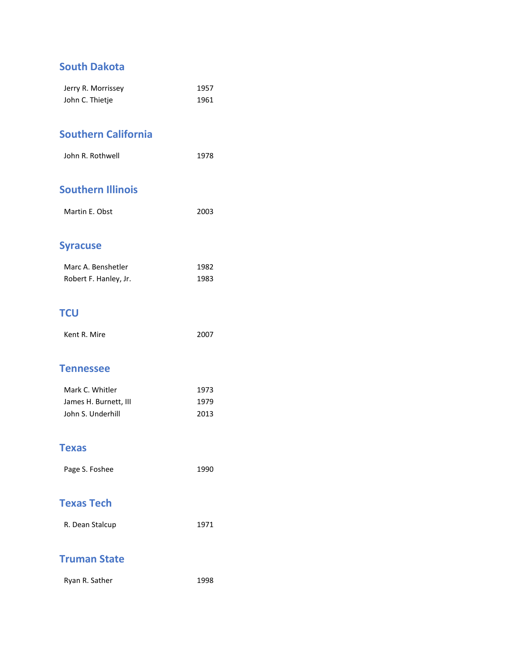### **South Dakota**

| Jerry R. Morrissey | 1957 |
|--------------------|------|
| John C. Thietje    | 1961 |

### **Southern California**

| John R. Rothwell | 1978 |
|------------------|------|
|                  |      |

### **Southern Illinois**

| Martin E. Obst | 2003 |
|----------------|------|
|                |      |

### **Syracuse**

| Marc A. Benshetler    | 1982 |
|-----------------------|------|
| Robert F. Hanley, Jr. | 1983 |

### **TCU**

| Kent R. Mire | 2007 |
|--------------|------|
|              |      |

#### **Tennessee**

| Mark C. Whitler       | 1973 |
|-----------------------|------|
| James H. Burnett, III | 1979 |
| John S. Underhill     | 2013 |

### **Texas**

| Page S. Foshee | 1990 |
|----------------|------|
|                |      |

### **Texas Tech**

| R. Dean Stalcup | 1971 |
|-----------------|------|
|                 |      |

### **Truman State**

| Ryan R. Sather | 1998 |
|----------------|------|
|----------------|------|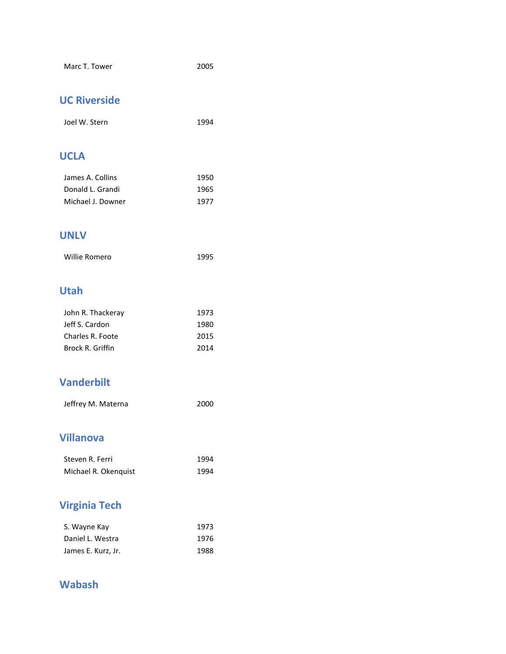## **UC Riverside**

| Joel W. Stern | 1994 |
|---------------|------|
|               |      |

### **UCLA**

| James A. Collins  | 1950 |
|-------------------|------|
| Donald L. Grandi  | 1965 |
| Michael J. Downer | 1977 |

#### **UNLV**

| Willie Romero | 1995 |
|---------------|------|
|---------------|------|

### **Utah**

| 1973 |
|------|
| 1980 |
| 2015 |
| 2014 |
|      |

### **Vanderbilt**

| Jeffrey M. Materna | 2000 |
|--------------------|------|
|                    |      |

### **Villanova**

| Steven R. Ferri      | 1994 |
|----------------------|------|
| Michael R. Okenquist | 1994 |

# **Virginia Tech**

| S. Wayne Kay       | 1973 |
|--------------------|------|
| Daniel L. Westra   | 1976 |
| James E. Kurz, Jr. | 1988 |

### **Wabash**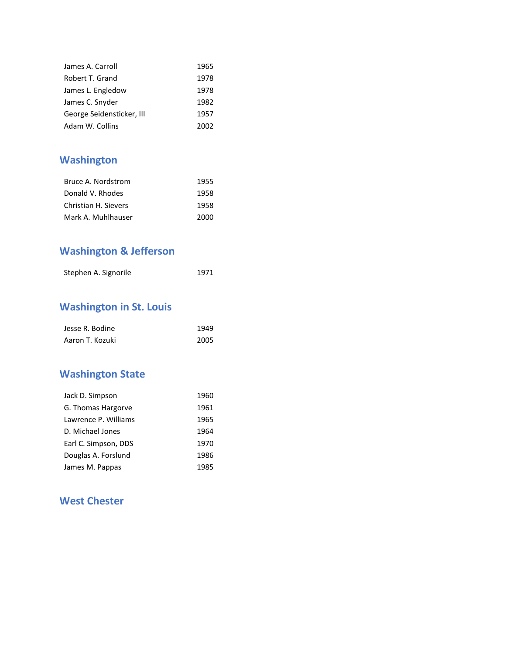| James A. Carroll          | 1965 |
|---------------------------|------|
| Robert T. Grand           | 1978 |
| James L. Engledow         | 1978 |
| James C. Snyder           | 1982 |
| George Seidensticker, III | 1957 |
| Adam W. Collins           | 2002 |

# **Washington**

| Bruce A. Nordstrom   | 1955 |
|----------------------|------|
| Donald V. Rhodes     | 1958 |
| Christian H. Sievers | 1958 |
| Mark A. Muhlhauser   | 2000 |

# **Washington & Jefferson**

| Stephen A. Signorile | 1971 |
|----------------------|------|
|                      |      |

# **Washington in St. Louis**

| Jesse R. Bodine | 1949 |
|-----------------|------|
| Aaron T. Kozuki | 2005 |

# **Washington State**

| Jack D. Simpson      | 1960 |
|----------------------|------|
| G. Thomas Hargorve   | 1961 |
| Lawrence P. Williams | 1965 |
| D. Michael Jones     | 1964 |
| Earl C. Simpson, DDS | 1970 |
| Douglas A. Forslund  | 1986 |
| James M. Pappas      | 1985 |

### **West Chester**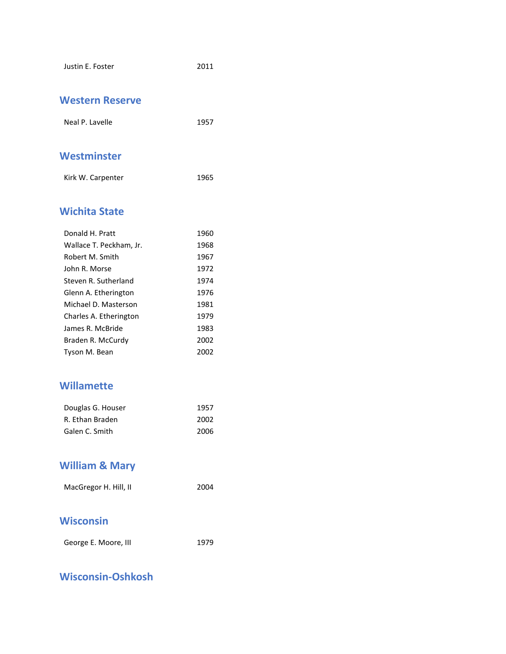| Justin E. Foster | 2011 |
|------------------|------|
|                  |      |

#### **Western Reserve**

| Neal P. Lavelle | 1957 |
|-----------------|------|
|                 |      |
| Westminster     |      |

| Kirk W. Carpenter | 1965 |
|-------------------|------|

### **Wichita State**

| Donald H. Pratt         | 1960 |
|-------------------------|------|
| Wallace T. Peckham, Jr. | 1968 |
| Robert M. Smith         | 1967 |
| John R. Morse           | 1972 |
| Steven R. Sutherland    | 1974 |
| Glenn A. Etherington    | 1976 |
| Michael D. Masterson    | 1981 |
| Charles A. Etherington  | 1979 |
| James R. McBride        | 1983 |
| Braden R. McCurdy       | 2002 |
| Tyson M. Bean           | 2002 |

### **Willamette**

| Douglas G. Houser | 1957 |
|-------------------|------|
| R. Ethan Braden   | 2002 |
| Galen C. Smith    | 2006 |

# **William & Mary**

| MacGregor H. Hill, II | 2004 |
|-----------------------|------|

### **Wisconsin**

| George E. Moore, III | 1979 |
|----------------------|------|
|                      |      |

## **Wisconsin-Oshkosh**